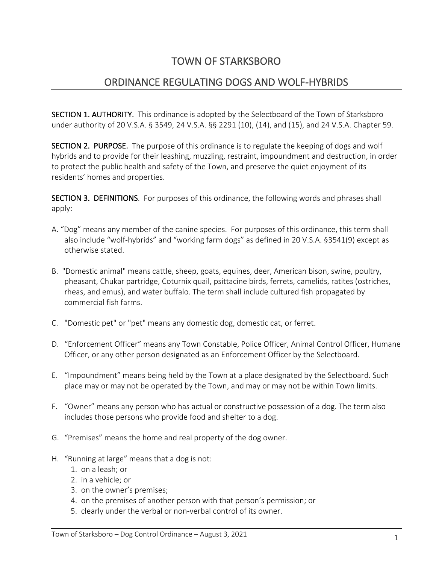# TOWN OF STARKSBORO

# ORDINANCE REGULATING DOGS AND WOLF-HYBRIDS

SECTION 1. AUTHORITY. This ordinance is adopted by the Selectboard of the Town of Starksboro under authority of 20 V.S.A. § 3549, 24 V.S.A. §§ 2291 (10), (14), and (15), and 24 V.S.A. Chapter 59.

SECTION 2. PURPOSE. The purpose of this ordinance is to regulate the keeping of dogs and wolf hybrids and to provide for their leashing, muzzling, restraint, impoundment and destruction, in order to protect the public health and safety of the Town, and preserve the quiet enjoyment of its residents' homes and properties.

SECTION 3. DEFINITIONS. For purposes of this ordinance, the following words and phrases shall apply:

- A. "Dog" means any member of the canine species. For purposes of this ordinance, this term shall also include "wolf-hybrids" and "working farm dogs" as defined in 20 V.S.A. §3541(9) except as otherwise stated.
- B. "Domestic animal" means cattle, sheep, goats, equines, deer, American bison, swine, poultry, pheasant, Chukar partridge, Coturnix quail, psittacine birds, ferrets, camelids, ratites (ostriches, rheas, and emus), and water buffalo. The term shall include cultured fish propagated by commercial fish farms.
- C. "Domestic pet" or "pet" means any domestic dog, domestic cat, or ferret.
- D. "Enforcement Officer" means any Town Constable, Police Officer, Animal Control Officer, Humane Officer, or any other person designated as an Enforcement Officer by the Selectboard.
- E. "Impoundment" means being held by the Town at a place designated by the Selectboard. Such place may or may not be operated by the Town, and may or may not be within Town limits.
- F. "Owner" means any person who has actual or constructive possession of a dog. The term also includes those persons who provide food and shelter to a dog.
- G. "Premises" means the home and real property of the dog owner.
- H. "Running at large" means that a dog is not:
	- 1. on a leash; or
	- 2. in a vehicle; or
	- 3. on the owner's premises;
	- 4. on the premises of another person with that person's permission; or
	- 5. clearly under the verbal or non-verbal control of its owner.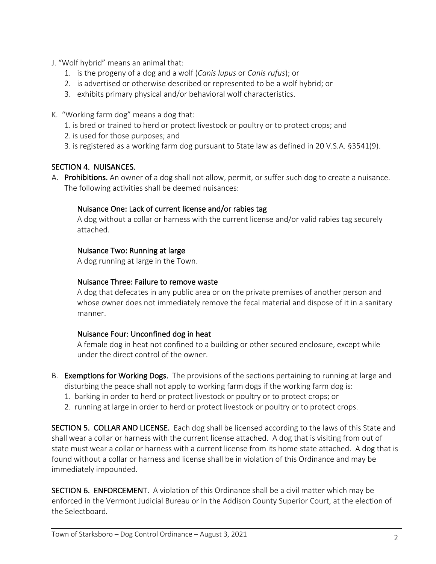- J. "Wolf hybrid" means an animal that:
	- 1. is the progeny of a dog and a wolf (*Canis lupus* or *Canis rufus*); or
	- 2. is advertised or otherwise described or represented to be a wolf hybrid; or
	- 3. exhibits primary physical and/or behavioral wolf characteristics.
- K. "Working farm dog" means a dog that:
	- 1. is bred or trained to herd or protect livestock or poultry or to protect crops; and
	- 2. is used for those purposes; and
	- 3. is registered as a working farm dog pursuant to State law as defined in 20 V.S.A. §3541(9).

## SECTION 4. NUISANCES.

A. Prohibitions. An owner of a dog shall not allow, permit, or suffer such dog to create a nuisance. The following activities shall be deemed nuisances:

## Nuisance One: Lack of current license and/or rabies tag

A dog without a collar or harness with the current license and/or valid rabies tag securely attached.

## Nuisance Two: Running at large

A dog running at large in the Town.

#### Nuisance Three: Failure to remove waste

A dog that defecates in any public area or on the private premises of another person and whose owner does not immediately remove the fecal material and dispose of it in a sanitary manner.

#### Nuisance Four: Unconfined dog in heat

A female dog in heat not confined to a building or other secured enclosure, except while under the direct control of the owner.

- B. Exemptions for Working Dogs. The provisions of the sections pertaining to running at large and disturbing the peace shall not apply to working farm dogs if the working farm dog is:
	- 1. barking in order to herd or protect livestock or poultry or to protect crops; or
	- 2. running at large in order to herd or protect livestock or poultry or to protect crops.

SECTION 5. COLLAR AND LICENSE. Each dog shall be licensed according to the laws of this State and shall wear a collar or harness with the current license attached. A dog that is visiting from out of state must wear a collar or harness with a current license from its home state attached. A dog that is found without a collar or harness and license shall be in violation of this Ordinance and may be immediately impounded.

SECTION 6. ENFORCEMENT. A violation of this Ordinance shall be a civil matter which may be enforced in the Vermont Judicial Bureau or in the Addison County Superior Court, at the election of the Selectboard*.*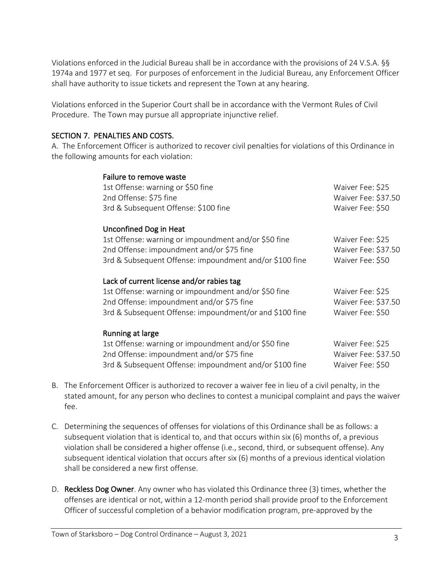Violations enforced in the Judicial Bureau shall be in accordance with the provisions of 24 V.S.A. §§ 1974a and 1977 et seq. For purposes of enforcement in the Judicial Bureau, any Enforcement Officer shall have authority to issue tickets and represent the Town at any hearing.

Violations enforced in the Superior Court shall be in accordance with the Vermont Rules of Civil Procedure. The Town may pursue all appropriate injunctive relief.

#### SECTION 7. PENALTIES AND COSTS.

A. The Enforcement Officer is authorized to recover civil penalties for violations of this Ordinance in the following amounts for each violation:

| Failure to remove waste                                 |                     |
|---------------------------------------------------------|---------------------|
| 1st Offense: warning or \$50 fine                       | Waiver Fee: \$25    |
| 2nd Offense: \$75 fine                                  | Waiver Fee: \$37.50 |
| 3rd & Subsequent Offense: \$100 fine                    | Waiver Fee: \$50    |
| Unconfined Dog in Heat                                  |                     |
| 1st Offense: warning or impoundment and/or \$50 fine    | Waiver Fee: \$25    |
| 2nd Offense: impoundment and/or \$75 fine               | Waiver Fee: \$37.50 |
| 3rd & Subsequent Offense: impoundment and/or \$100 fine | Waiver Fee: \$50    |
| Lack of current license and/or rabies tag               |                     |
| 1st Offense: warning or impoundment and/or \$50 fine    | Waiver Fee: \$25    |
| 2nd Offense: impoundment and/or \$75 fine               | Waiver Fee: \$37.50 |
| 3rd & Subsequent Offense: impoundment/or and \$100 fine | Waiver Fee: \$50    |
| Running at large                                        |                     |
| 1st Offense: warning or impoundment and/or \$50 fine    | Waiver Fee: \$25    |
| 2nd Offense: impoundment and/or \$75 fine               | Waiver Fee: \$37.50 |
| 3rd & Subsequent Offense: impoundment and/or \$100 fine | Waiver Fee: \$50    |
|                                                         |                     |

- B. The Enforcement Officer is authorized to recover a waiver fee in lieu of a civil penalty, in the stated amount, for any person who declines to contest a municipal complaint and pays the waiver fee.
- C. Determining the sequences of offenses for violations of this Ordinance shall be as follows: a subsequent violation that is identical to, and that occurs within six (6) months of, a previous violation shall be considered a higher offense (i.e., second, third, or subsequent offense). Any subsequent identical violation that occurs after six (6) months of a previous identical violation shall be considered a new first offense.
- D. Reckless Dog Owner. Any owner who has violated this Ordinance three (3) times, whether the offenses are identical or not, within a 12-month period shall provide proof to the Enforcement Officer of successful completion of a behavior modification program, pre-approved by the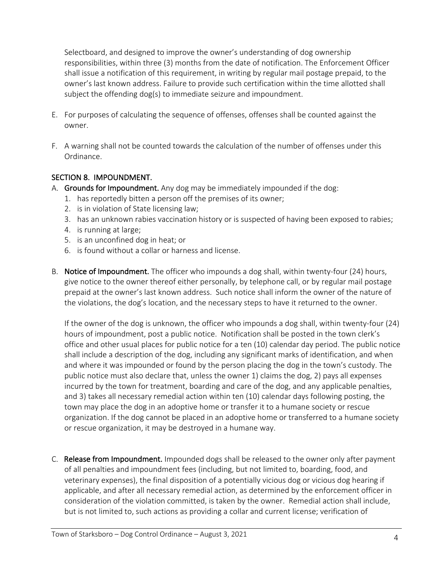Selectboard, and designed to improve the owner's understanding of dog ownership responsibilities, within three (3) months from the date of notification. The Enforcement Officer shall issue a notification of this requirement, in writing by regular mail postage prepaid, to the owner's last known address. Failure to provide such certification within the time allotted shall subject the offending dog(s) to immediate seizure and impoundment.

- E. For purposes of calculating the sequence of offenses, offenses shall be counted against the owner.
- F. A warning shall not be counted towards the calculation of the number of offenses under this Ordinance.

# SECTION 8. IMPOUNDMENT.

- A. Grounds for Impoundment. Any dog may be immediately impounded if the dog:
	- 1. has reportedly bitten a person off the premises of its owner;
	- 2. is in violation of State licensing law;
	- 3. has an unknown rabies vaccination history or is suspected of having been exposed to rabies;
	- 4. is running at large;
	- 5. is an unconfined dog in heat; or
	- 6. is found without a collar or harness and license.
- B. Notice of Impoundment. The officer who impounds a dog shall, within twenty-four (24) hours, give notice to the owner thereof either personally, by telephone call, or by regular mail postage prepaid at the owner's last known address. Such notice shall inform the owner of the nature of the violations, the dog's location, and the necessary steps to have it returned to the owner.

If the owner of the dog is unknown, the officer who impounds a dog shall, within twenty-four (24) hours of impoundment, post a public notice. Notification shall be posted in the town clerk's office and other usual places for public notice for a ten (10) calendar day period. The public notice shall include a description of the dog, including any significant marks of identification, and when and where it was impounded or found by the person placing the dog in the town's custody. The public notice must also declare that, unless the owner 1) claims the dog, 2) pays all expenses incurred by the town for treatment, boarding and care of the dog, and any applicable penalties, and 3) takes all necessary remedial action within ten (10) calendar days following posting, the town may place the dog in an adoptive home or transfer it to a humane society or rescue organization. If the dog cannot be placed in an adoptive home or transferred to a humane society or rescue organization, it may be destroyed in a humane way.

C. Release from Impoundment. Impounded dogs shall be released to the owner only after payment of all penalties and impoundment fees (including, but not limited to, boarding, food, and veterinary expenses), the final disposition of a potentially vicious dog or vicious dog hearing if applicable, and after all necessary remedial action, as determined by the enforcement officer in consideration of the violation committed, is taken by the owner. Remedial action shall include, but is not limited to, such actions as providing a collar and current license; verification of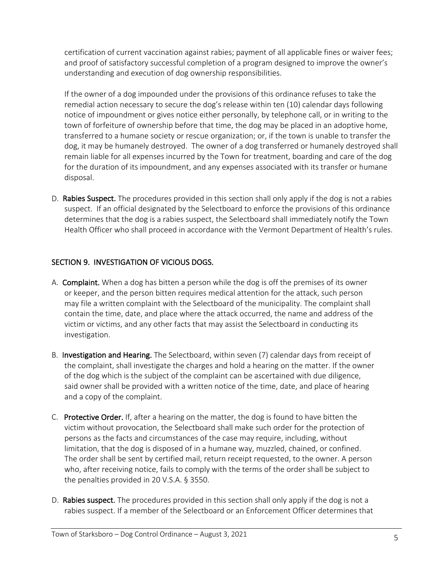certification of current vaccination against rabies; payment of all applicable fines or waiver fees; and proof of satisfactory successful completion of a program designed to improve the owner's understanding and execution of dog ownership responsibilities.

If the owner of a dog impounded under the provisions of this ordinance refuses to take the remedial action necessary to secure the dog's release within ten (10) calendar days following notice of impoundment or gives notice either personally, by telephone call, or in writing to the town of forfeiture of ownership before that time, the dog may be placed in an adoptive home, transferred to a humane society or rescue organization; or, if the town is unable to transfer the dog, it may be humanely destroyed. The owner of a dog transferred or humanely destroyed shall remain liable for all expenses incurred by the Town for treatment, boarding and care of the dog for the duration of its impoundment, and any expenses associated with its transfer or humane disposal.

D. **Rabies Suspect.** The procedures provided in this section shall only apply if the dog is not a rabies suspect. If an official designated by the Selectboard to enforce the provisions of this ordinance determines that the dog is a rabies suspect, the Selectboard shall immediately notify the Town Health Officer who shall proceed in accordance with the Vermont Department of Health's rules.

# SECTION 9. INVESTIGATION OF VICIOUS DOGS.

- A. Complaint. When a dog has bitten a person while the dog is off the premises of its owner or keeper, and the person bitten requires medical attention for the attack, such person may file a written complaint with the Selectboard of the municipality. The complaint shall contain the time, date, and place where the attack occurred, the name and address of the victim or victims, and any other facts that may assist the Selectboard in conducting its investigation.
- B. Investigation and Hearing. The Selectboard, within seven (7) calendar days from receipt of the complaint, shall investigate the charges and hold a hearing on the matter. If the owner of the dog which is the subject of the complaint can be ascertained with due diligence, said owner shall be provided with a written notice of the time, date, and place of hearing and a copy of the complaint.
- C. Protective Order. If, after a hearing on the matter, the dog is found to have bitten the victim without provocation, the Selectboard shall make such order for the protection of persons as the facts and circumstances of the case may require, including, without limitation, that the dog is disposed of in a humane way, muzzled, chained, or confined. The order shall be sent by certified mail, return receipt requested, to the owner. A person who, after receiving notice, fails to comply with the terms of the order shall be subject to the penalties provided in 20 V.S.A. § 3550.
- D. **Rabies suspect.** The procedures provided in this section shall only apply if the dog is not a rabies suspect. If a member of the Selectboard or an Enforcement Officer determines that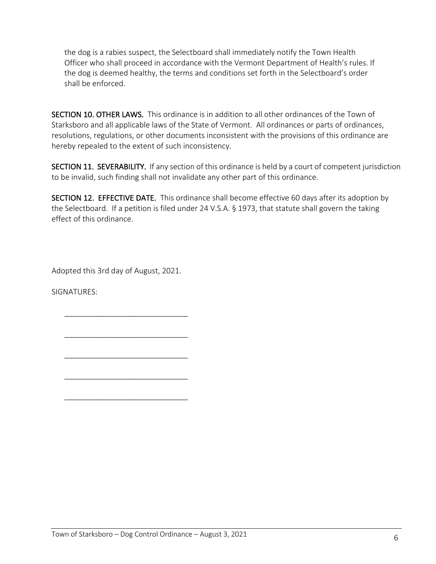the dog is a rabies suspect, the Selectboard shall immediately notify the Town Health Officer who shall proceed in accordance with the Vermont Department of Health's rules. If the dog is deemed healthy, the terms and conditions set forth in the Selectboard's order shall be enforced.

SECTION 10. OTHER LAWS. This ordinance is in addition to all other ordinances of the Town of Starksboro and all applicable laws of the State of Vermont. All ordinances or parts of ordinances, resolutions, regulations, or other documents inconsistent with the provisions of this ordinance are hereby repealed to the extent of such inconsistency.

SECTION 11. SEVERABILITY. If any section of this ordinance is held by a court of competent jurisdiction to be invalid, such finding shall not invalidate any other part of this ordinance.

SECTION 12. EFFECTIVE DATE. This ordinance shall become effective 60 days after its adoption by the Selectboard. If a petition is filed under 24 V.S.A. § 1973, that statute shall govern the taking effect of this ordinance.

Adopted this 3rd day of August, 2021.

\_\_\_\_\_\_\_\_\_\_\_\_\_\_\_\_\_\_\_\_\_\_\_\_\_\_\_\_\_

\_\_\_\_\_\_\_\_\_\_\_\_\_\_\_\_\_\_\_\_\_\_\_\_\_\_\_\_\_

\_\_\_\_\_\_\_\_\_\_\_\_\_\_\_\_\_\_\_\_\_\_\_\_\_\_\_\_\_

\_\_\_\_\_\_\_\_\_\_\_\_\_\_\_\_\_\_\_\_\_\_\_\_\_\_\_\_\_

\_\_\_\_\_\_\_\_\_\_\_\_\_\_\_\_\_\_\_\_\_\_\_\_\_\_\_\_\_

SIGNATURES: